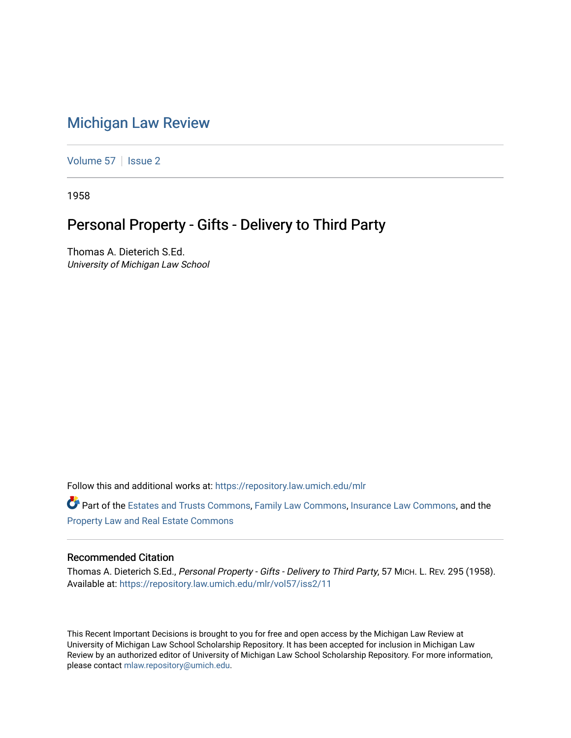## [Michigan Law Review](https://repository.law.umich.edu/mlr)

[Volume 57](https://repository.law.umich.edu/mlr/vol57) | [Issue 2](https://repository.law.umich.edu/mlr/vol57/iss2)

1958

## Personal Property - Gifts - Delivery to Third Party

Thomas A. Dieterich S.Ed. University of Michigan Law School

Follow this and additional works at: [https://repository.law.umich.edu/mlr](https://repository.law.umich.edu/mlr?utm_source=repository.law.umich.edu%2Fmlr%2Fvol57%2Fiss2%2F11&utm_medium=PDF&utm_campaign=PDFCoverPages) 

Part of the [Estates and Trusts Commons,](http://network.bepress.com/hgg/discipline/906?utm_source=repository.law.umich.edu%2Fmlr%2Fvol57%2Fiss2%2F11&utm_medium=PDF&utm_campaign=PDFCoverPages) [Family Law Commons,](http://network.bepress.com/hgg/discipline/602?utm_source=repository.law.umich.edu%2Fmlr%2Fvol57%2Fiss2%2F11&utm_medium=PDF&utm_campaign=PDFCoverPages) [Insurance Law Commons](http://network.bepress.com/hgg/discipline/607?utm_source=repository.law.umich.edu%2Fmlr%2Fvol57%2Fiss2%2F11&utm_medium=PDF&utm_campaign=PDFCoverPages), and the [Property Law and Real Estate Commons](http://network.bepress.com/hgg/discipline/897?utm_source=repository.law.umich.edu%2Fmlr%2Fvol57%2Fiss2%2F11&utm_medium=PDF&utm_campaign=PDFCoverPages) 

## Recommended Citation

Thomas A. Dieterich S.Ed., Personal Property - Gifts - Delivery to Third Party, 57 MICH. L. REV. 295 (1958). Available at: [https://repository.law.umich.edu/mlr/vol57/iss2/11](https://repository.law.umich.edu/mlr/vol57/iss2/11?utm_source=repository.law.umich.edu%2Fmlr%2Fvol57%2Fiss2%2F11&utm_medium=PDF&utm_campaign=PDFCoverPages) 

This Recent Important Decisions is brought to you for free and open access by the Michigan Law Review at University of Michigan Law School Scholarship Repository. It has been accepted for inclusion in Michigan Law Review by an authorized editor of University of Michigan Law School Scholarship Repository. For more information, please contact [mlaw.repository@umich.edu.](mailto:mlaw.repository@umich.edu)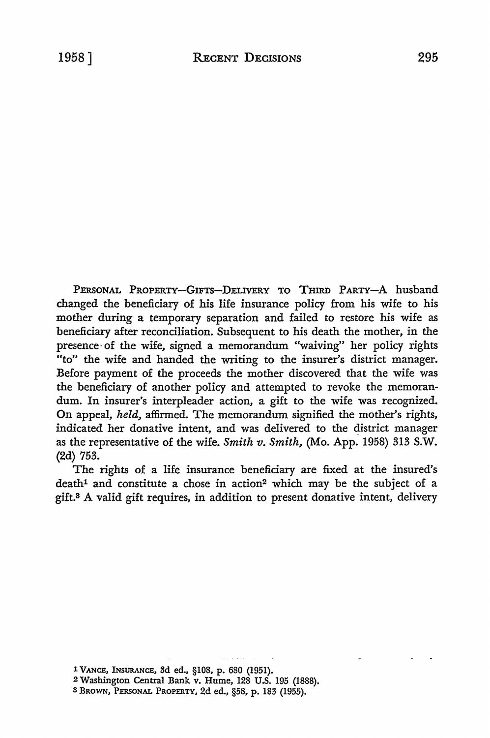PERSONAL PROPERTY-GIFTS-DELIVERY To THIRD PARTY-A husband changed the beneficiary of his life insurance policy from his wife to his mother during a temporary separation and failed to restore his wife as beneficiary after reconciliation. Subsequent to his death the mother, in the presence· of the wife, signed a memorandum "waiving" her policy rights "to" the wife and handed the writing to the insurer's district manager. Before payment of the proceeds the mother discovered that the wife was the beneficiary of another policy and attempted to revoke the memorandum. In insurer's interpleader action, a gift to the wife was recognized. **On** appeal, *held,* affirmed. The memorandum signified the mother's rights, indicated her donative intent, and was delivered to the district manager as the representative of the wife. *Smith v. Smith,* (Mo. App. 1958) 313 S.W. (2d) 753.

The rights of a life insurance beneficiary are fixed at the insured's death<sup>1</sup> and constitute a chose in action<sup>2</sup> which may be the subject of a gift.3 A valid gift requires, in addition to present donative intent, delivery

1 VANCE, INSURANCE, 3d ed., §108, p. 680 (1951).

<sup>2</sup> Washington Central Bank v. Hume, 128 U.S. 195 (1888).

<sup>3</sup> BROWN, PERSONAL PROPERTY, 2d ed., §58, p. 183 (1955).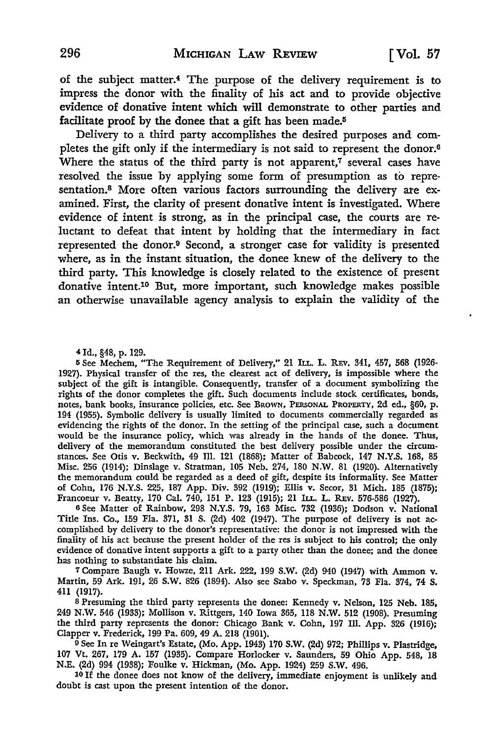of the subject matter.4 The purpose of the delivery requirement is to impress the donor with the finality of his act and to provide objective evidence of donative intent which will demonstrate to other parties and facilitate proof by the donee that a gift has been made.<sup>5</sup>

Delivery to a third party accomplishes the desired purposes and completes the gift only if the intermediary is not said to represent the donor.<sup>6</sup> Where the status of the third party is not apparent, $\tau$  several cases have resolved the issue by applying some form of presumption as to representation.8 More often various factors surrounding the delivery are examined. First, the clarity of present donative intent is investigated. Where evidence of intent is strong, as in the principal *case,* the courts are reluctant to defeat that intent by holding that the intermediary in fact represented the donor.9 Second, a stronger case for validity is presented where, as in the instant situation, the donee knew of the delivery to the third party. This knowledge is closely related to the existence of present donative intent.10 But, more important, such knowledge makes possible an otherwise unavailable agency analysis to explain the validity of the

4 Id., §48, p. 129.

<sup>5</sup>See Mechem, "The Requirement of Delivery," 21 Iu.. L. REv. 341, 457, 568 (1926- 1927). Physical transfer of the res, the clearest act of delivery, is impossible where the subject of the gift is intangible. Consequently, transfer of a document symbolizing the rights of the donor completes the gift. Such documents include stock certificates, bonds, notes, bank books, insurance policies, etc. See BROWN, PERSONAL PROPERTY, 2d ed., §60, p. 194 (1955). Symbolic delivery is usually limited to documents commercially regarded as evidencing the rights of the donor. In the setting of the principal case, such a document would be the insurance policy, which was already in the hands of the donee. Thus, delivery of the memorandum constituted the best delivery possible under the circumstances. See Otis v. Beckwith, 49 Ill. 121 (1868); Matter of Babcock, 147 N.Y.S. 168, 85 Misc. 256 (1914); Dinslage v. Stratman, 105 Neb. 274, 180 N.W. 81 (1920). Alternatively the memorandum could be regarded as a deed of gift, despite its informality. See Matter of Cohn, 176 N.Y.S. 225, 187 App. Div. 392 (1919); Ellis v. Secor, 31 Mich. 185 (1875); Francoeur v. Beatty, 170 Cal. 740, 151 P. 123 (1915); 21 ILL. L. REv. 576-586 (1927).

<sup>6</sup>See Matter of Rainbow, 298 N.Y.S. 79, 163 Misc. 732 (1936); Dodson v. National Title Ins. Co., 159 Fla. 371, 31 S. (2d) 402 (1947). The purpose of delivery is not accomplished by delivery to the donor's representative: the donor is not impressed with the finality of his act because the present holder of the res is subject to his control; the only evidence of donative intent supports a gift to a party other than the donee; and the donee has nothing to substantiate his claim.

7 Compare Baugh v. Howze, 211 Ark. 222, 199 **S.W.** (2d) 940 (1947) with Ammon v. Martin, 59 Ark. 191, 26 S.W. 826 (1894). Also see Szabo v. Speckman, 73 Fla. 374, 74 S, 411 (1917).

s Presuming the third party represents the donee: Kennedy v. Nelson, 125 Neb. 185, 249 N.W. 546 (1933); Mollison v. Rittgers, 140 Iowa 365, 118 N.W. 512 (1908). Presuming the third party represents the donor: Chicago Bank v. Cohn, 197 Ill. App. 326 (1916); Clapper v. Frederick, 199 Pa. 609, 49 A. 218 (1901).

<sup>9</sup> See In re Weingart's Estate, (Mo. App. 1943) 170 S.W. (2d) 972; Phillips v. Plastridge, 107 Vt. 267, 179 A. 157 (1935). Compare Horlocker v. Saunders, 59 Ohio App. 548, 18 N.E. (2d) 994 (1938); Foulke v. Hickman, (Mo. App. 1924) 259 S.W. 496.

10 If the donee does not know of the delivery, immediate enjoyment is unlikely and doubt is cast upon the present intention of the donor.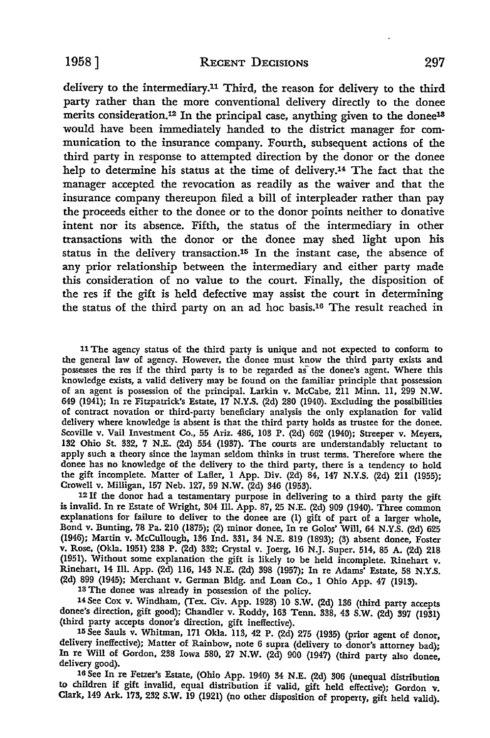delivery to the intermediary.11 Third, the reason for delivery to the third party rather than the more conventional delivery directly to the donee merits consideration.<sup>12</sup> In the principal case, anything given to the donee<sup>18</sup> would have been immediately handed to the district manager for communication to the insurance company. Fourth, subsequent actions of the third party in response to attempted direction by the donor or the donee help to determine his status at the time of delivery.14 The fact that the manager accepted the revocation as readily as the waiver and that the insurance company thereupon filed a bill of interpleader rather than pay the proceeds either to the donee or to the donor points neither to donative intent nor its absence. Fifth, the status of the intermediary in other transactions with the donor or the donee may shed light upon his status in the delivery transaction.15 In the instant case, the absence of any prior relationship between the intermediary and either party made this consideration of no value to the court. Finally, the disposition of the res if the gift is held defective may assist the court in determining the status of the third party on an ad hoc basis.16 The result reached in

<sup>11</sup>The agency status of the third party is unique and not expected to conform to the general law of agency. However, the donee must know the third party exists and possesses the res if the third party is to be regarded as the donee's agent. Where this knowledge exists, a valid delivery may be found on the familiar principle that possession of an agent is possession of the principal. Larkin v. McCabe, 211 Minn. 11, 299 N.W. 649 (1941); In re Fitzpatrick's Estate, 17 N.Y.S. (2d) 280 (1940). Excluding the possibilities of contract novation or third-party beneficiary analysis the only explanation for valid delivery where knowledge is absent is that the third party holds as trustee for the donee. Scoville v. Vail Investment Co., 55 Ariz. 486, 103 P. (2d) 662 (1940); Streeper v. Meyers, 132 Ohio St. 332, 7 N.E. (2d) 554 (1937). The courts are understandably reluctant to apply such a theory since the layman seldom thinks in trust terms. Therefore where the donee has no knowledge of the delivery to the third party, there is a tendency to hold the gift incomplete. Matter of Lafler, 1 App. Div. (2d) 84, 147 N.Y.S. (2d) 211 (1955); Crowell v. Milligan, 157 Neb. 127, 59 N.W. (2d) 346 (1953).

12 If the donor had a testamentary purpose in delivering to a third party the gift is invalid. In re Estate of Wright, 304 Ill. App. 87, 25 N.E. (2d) 909 (1940). Three common explanations for failure to deliver to the donee are (1) gift of part of a larger whole, Bond v. Bunting, 78 Pa. 210 (1875); (2) minor donee, In re Golos' Will, 64 N.Y.S. (2d) 625 (1946); Martin v. McCullough, 136 Ind. 331, 34 N.E. 819 (1893); (3) absent donee, Foster v. Rose, (Okla. 1951) 238 P. (2d) 332; Crystal v. Joerg, 16 N.J. Super. 514, 85 A. (2d) 218 (1951). Without some explanation the gift is likely to be held incomplete. Rinehart v. Rinehart, 14 Ill. App. (2d) 116, 143 N.E. (2d) 398 (1957); In re Adams' Estate, 58 N.Y.S. (2d) 899 (1945); Merchant v. German Bldg. and Loan Co., 1 Ohio App. 47 (1913).

13 The donee was already in possession of the policy.

14See Cox v. Windham, (Tex. Civ. App. 1928) 10 S.W. (2d) 136 (third party accepts donee's direction, gift good); Chandler v. Roddy, 163 Tenn. 338, 43 S.W. (2d) 397 (1931) (third party accepts donor's direction, gift ineffective).

15 See Sauls v. Whitman, 171 Okla. 113, 42 P. (2d) 275 (1935) (prior agent of donor, delivery ineffective); Matter of Rainbow, note 6 supra (delivery to donor's attorney bad); In re Will of Gordon, 238 Iowa 580, 27 N.W. (2d) 900 (1947) (third party also donee, delivery good).

16 See In re Fetzer's Estate, (Ohio App. 1940) 34 N.E. (2d) 306 (unequal distribution to children if gift invalid, equal distribution if valid, gift held effective); Gordon v. Clark, 149 Ark. 173, 232 S.W. 19 (1921) (no other disposition of property, gift held valid).